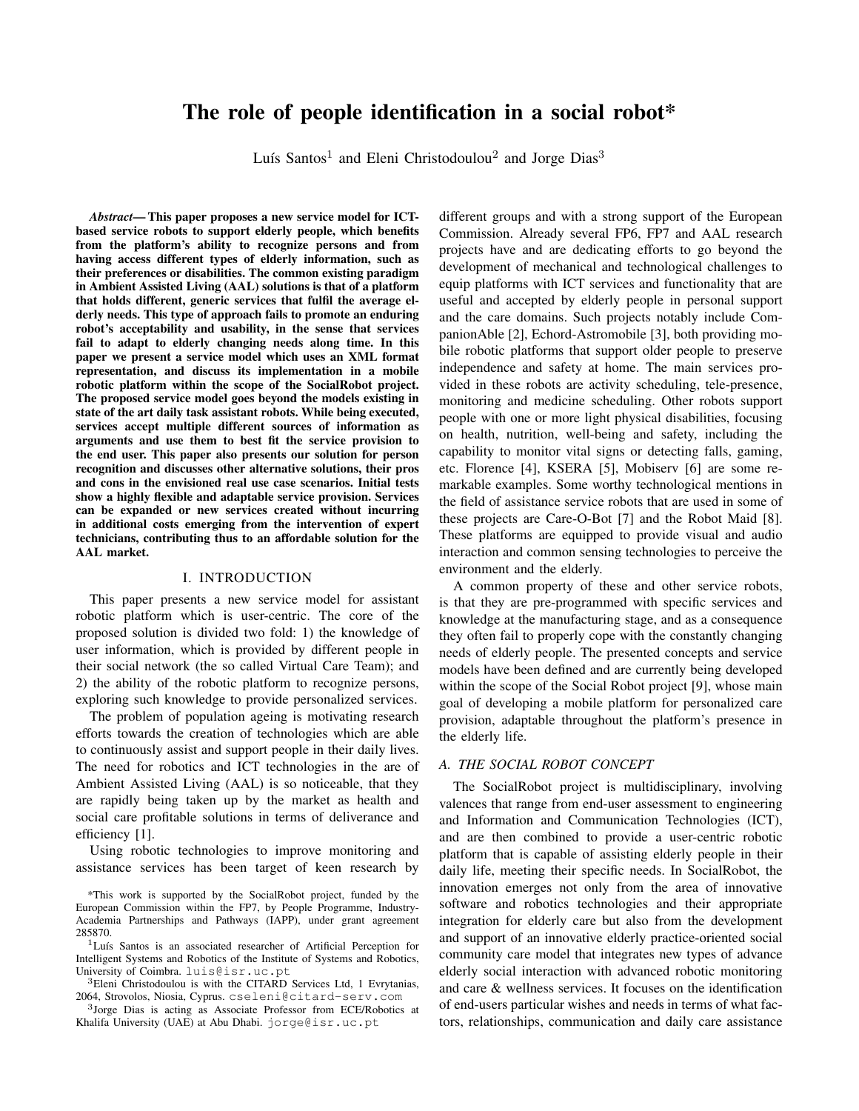# The role of people identification in a social robot\*

Luís Santos<sup>1</sup> and Eleni Christodoulou<sup>2</sup> and Jorge Dias<sup>3</sup>

*Abstract*— This paper proposes a new service model for ICTbased service robots to support elderly people, which benefits from the platform's ability to recognize persons and from having access different types of elderly information, such as their preferences or disabilities. The common existing paradigm in Ambient Assisted Living (AAL) solutions is that of a platform that holds different, generic services that fulfil the average elderly needs. This type of approach fails to promote an enduring robot's acceptability and usability, in the sense that services fail to adapt to elderly changing needs along time. In this paper we present a service model which uses an XML format representation, and discuss its implementation in a mobile robotic platform within the scope of the SocialRobot project. The proposed service model goes beyond the models existing in state of the art daily task assistant robots. While being executed, services accept multiple different sources of information as arguments and use them to best fit the service provision to the end user. This paper also presents our solution for person recognition and discusses other alternative solutions, their pros and cons in the envisioned real use case scenarios. Initial tests show a highly flexible and adaptable service provision. Services can be expanded or new services created without incurring in additional costs emerging from the intervention of expert technicians, contributing thus to an affordable solution for the AAL market.

#### I. INTRODUCTION

This paper presents a new service model for assistant robotic platform which is user-centric. The core of the proposed solution is divided two fold: 1) the knowledge of user information, which is provided by different people in their social network (the so called Virtual Care Team); and 2) the ability of the robotic platform to recognize persons, exploring such knowledge to provide personalized services.

The problem of population ageing is motivating research efforts towards the creation of technologies which are able to continuously assist and support people in their daily lives. The need for robotics and ICT technologies in the are of Ambient Assisted Living (AAL) is so noticeable, that they are rapidly being taken up by the market as health and social care profitable solutions in terms of deliverance and efficiency [1].

Using robotic technologies to improve monitoring and assistance services has been target of keen research by

\*This work is supported by the SocialRobot project, funded by the European Commission within the FP7, by People Programme, Industry-Academia Partnerships and Pathways (IAPP), under grant agreement 285870.

<sup>1</sup>Luís Santos is an associated researcher of Artificial Perception for Intelligent Systems and Robotics of the Institute of Systems and Robotics, University of Coimbra. luis@isr.uc.pt

<sup>3</sup>Eleni Christodoulou is with the CITARD Services Ltd, 1 Evrytanias, 2064, Strovolos, Niosia, Cyprus. cseleni@citard-serv.com

3 Jorge Dias is acting as Associate Professor from ECE/Robotics at Khalifa University (UAE) at Abu Dhabi. jorge@isr.uc.pt

different groups and with a strong support of the European Commission. Already several FP6, FP7 and AAL research projects have and are dedicating efforts to go beyond the development of mechanical and technological challenges to equip platforms with ICT services and functionality that are useful and accepted by elderly people in personal support and the care domains. Such projects notably include CompanionAble [2], Echord-Astromobile [3], both providing mobile robotic platforms that support older people to preserve independence and safety at home. The main services provided in these robots are activity scheduling, tele-presence, monitoring and medicine scheduling. Other robots support people with one or more light physical disabilities, focusing on health, nutrition, well-being and safety, including the capability to monitor vital signs or detecting falls, gaming, etc. Florence [4], KSERA [5], Mobiserv [6] are some remarkable examples. Some worthy technological mentions in the field of assistance service robots that are used in some of these projects are Care-O-Bot [7] and the Robot Maid [8]. These platforms are equipped to provide visual and audio interaction and common sensing technologies to perceive the environment and the elderly.

A common property of these and other service robots, is that they are pre-programmed with specific services and knowledge at the manufacturing stage, and as a consequence they often fail to properly cope with the constantly changing needs of elderly people. The presented concepts and service models have been defined and are currently being developed within the scope of the Social Robot project [9], whose main goal of developing a mobile platform for personalized care provision, adaptable throughout the platform's presence in the elderly life.

# *A. THE SOCIAL ROBOT CONCEPT*

The SocialRobot project is multidisciplinary, involving valences that range from end-user assessment to engineering and Information and Communication Technologies (ICT), and are then combined to provide a user-centric robotic platform that is capable of assisting elderly people in their daily life, meeting their specific needs. In SocialRobot, the innovation emerges not only from the area of innovative software and robotics technologies and their appropriate integration for elderly care but also from the development and support of an innovative elderly practice-oriented social community care model that integrates new types of advance elderly social interaction with advanced robotic monitoring and care & wellness services. It focuses on the identification of end-users particular wishes and needs in terms of what factors, relationships, communication and daily care assistance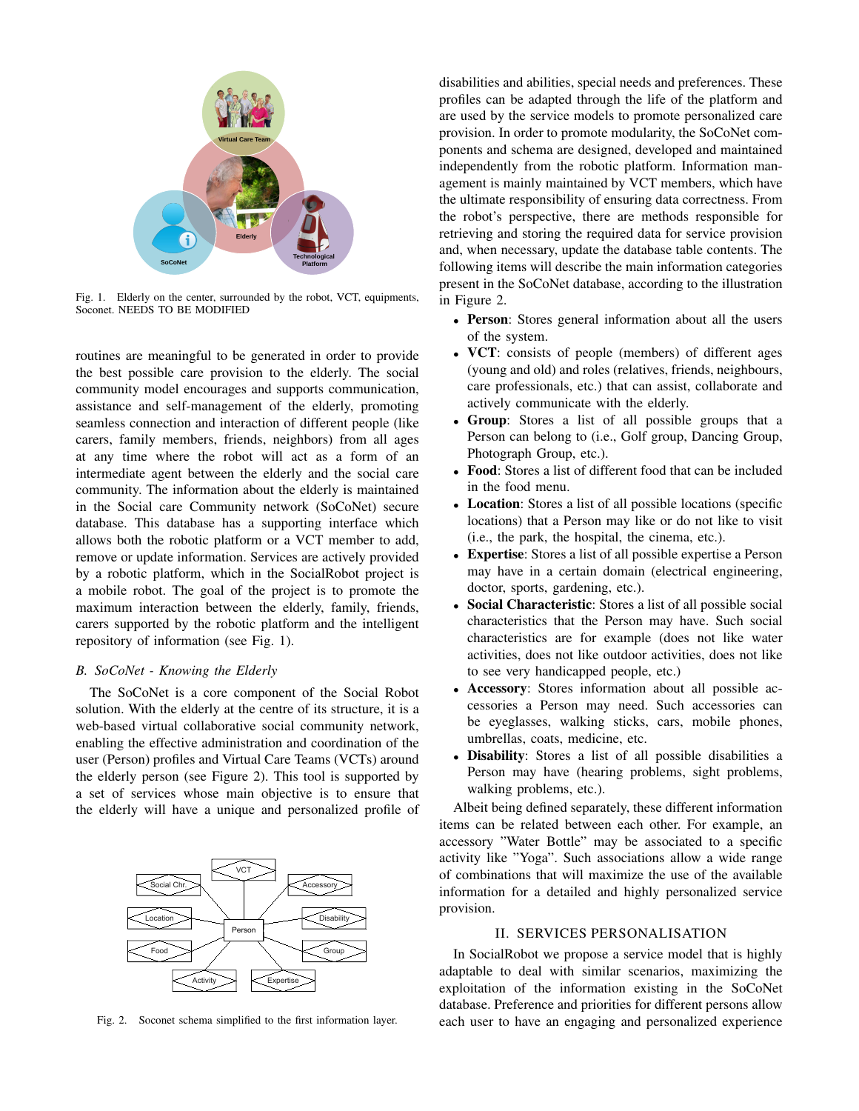

Fig. 1. Elderly on the center, surrounded by the robot, VCT, equipments, Soconet. NEEDS TO BE MODIFIED

routines are meaningful to be generated in order to provide the best possible care provision to the elderly. The social community model encourages and supports communication, assistance and self-management of the elderly, promoting seamless connection and interaction of different people (like carers, family members, friends, neighbors) from all ages at any time where the robot will act as a form of an intermediate agent between the elderly and the social care community. The information about the elderly is maintained in the Social care Community network (SoCoNet) secure database. This database has a supporting interface which allows both the robotic platform or a VCT member to add, remove or update information. Services are actively provided by a robotic platform, which in the SocialRobot project is a mobile robot. The goal of the project is to promote the maximum interaction between the elderly, family, friends, carers supported by the robotic platform and the intelligent repository of information (see Fig. 1).

# *B. SoCoNet - Knowing the Elderly*

The SoCoNet is a core component of the Social Robot solution. With the elderly at the centre of its structure, it is a web-based virtual collaborative social community network, enabling the effective administration and coordination of the user (Person) profiles and Virtual Care Teams (VCTs) around the elderly person (see Figure 2). This tool is supported by a set of services whose main objective is to ensure that the elderly will have a unique and personalized profile of



Fig. 2. Soconet schema simplified to the first information layer.

disabilities and abilities, special needs and preferences. These profiles can be adapted through the life of the platform and are used by the service models to promote personalized care provision. In order to promote modularity, the SoCoNet components and schema are designed, developed and maintained independently from the robotic platform. Information management is mainly maintained by VCT members, which have the ultimate responsibility of ensuring data correctness. From the robot's perspective, there are methods responsible for retrieving and storing the required data for service provision and, when necessary, update the database table contents. The following items will describe the main information categories present in the SoCoNet database, according to the illustration in Figure 2.

- Person: Stores general information about all the users of the system.
- VCT: consists of people (members) of different ages (young and old) and roles (relatives, friends, neighbours, care professionals, etc.) that can assist, collaborate and actively communicate with the elderly.
- Group: Stores a list of all possible groups that a Person can belong to (i.e., Golf group, Dancing Group, Photograph Group, etc.).
- Food: Stores a list of different food that can be included in the food menu.
- Location: Stores a list of all possible locations (specific locations) that a Person may like or do not like to visit (i.e., the park, the hospital, the cinema, etc.).
- Expertise: Stores a list of all possible expertise a Person may have in a certain domain (electrical engineering, doctor, sports, gardening, etc.).
- Social Characteristic: Stores a list of all possible social characteristics that the Person may have. Such social characteristics are for example (does not like water activities, does not like outdoor activities, does not like to see very handicapped people, etc.)
- Accessory: Stores information about all possible accessories a Person may need. Such accessories can be eyeglasses, walking sticks, cars, mobile phones, umbrellas, coats, medicine, etc.
- Disability: Stores a list of all possible disabilities a Person may have (hearing problems, sight problems, walking problems, etc.).

Albeit being defined separately, these different information items can be related between each other. For example, an accessory "Water Bottle" may be associated to a specific activity like "Yoga". Such associations allow a wide range of combinations that will maximize the use of the available information for a detailed and highly personalized service provision.

# II. SERVICES PERSONALISATION

In SocialRobot we propose a service model that is highly adaptable to deal with similar scenarios, maximizing the exploitation of the information existing in the SoCoNet database. Preference and priorities for different persons allow each user to have an engaging and personalized experience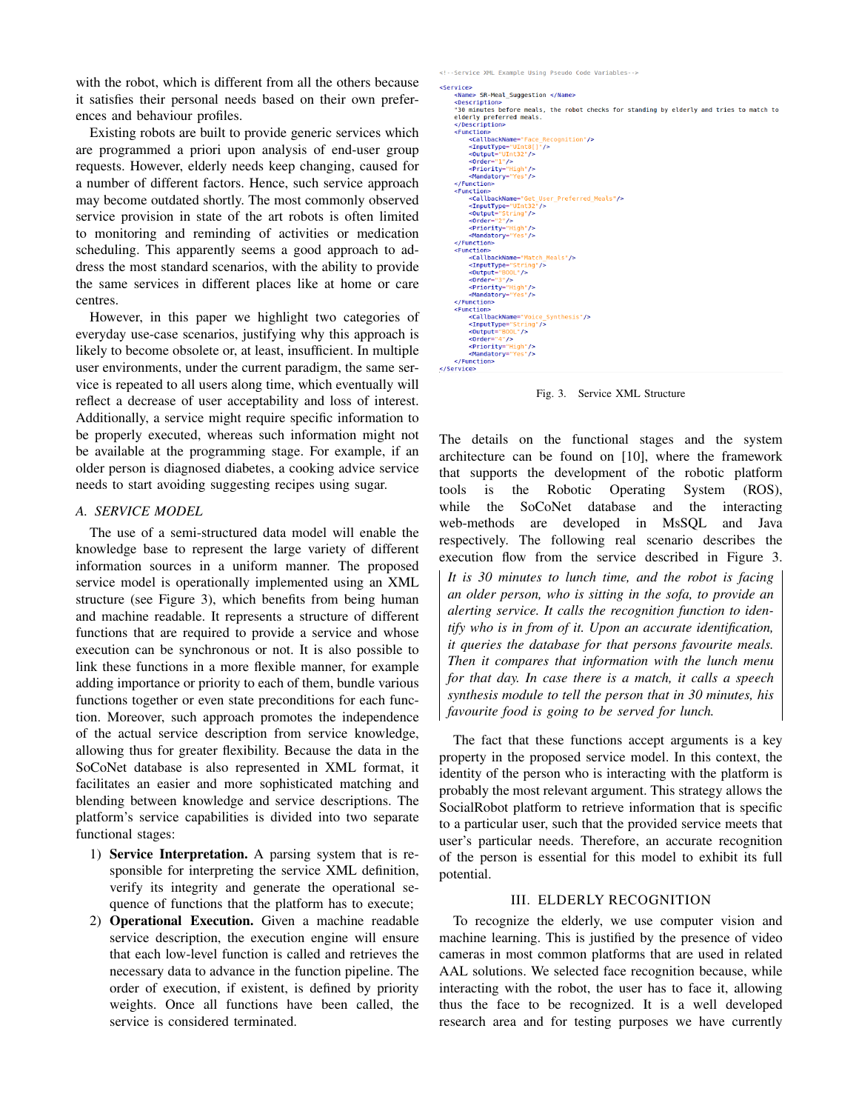with the robot, which is different from all the others because it satisfies their personal needs based on their own preferences and behaviour profiles.

Existing robots are built to provide generic services which are programmed a priori upon analysis of end-user group requests. However, elderly needs keep changing, caused for a number of different factors. Hence, such service approach may become outdated shortly. The most commonly observed service provision in state of the art robots is often limited to monitoring and reminding of activities or medication scheduling. This apparently seems a good approach to address the most standard scenarios, with the ability to provide the same services in different places like at home or care centres.

However, in this paper we highlight two categories of everyday use-case scenarios, justifying why this approach is likely to become obsolete or, at least, insufficient. In multiple user environments, under the current paradigm, the same service is repeated to all users along time, which eventually will reflect a decrease of user acceptability and loss of interest. Additionally, a service might require specific information to be properly executed, whereas such information might not be available at the programming stage. For example, if an older person is diagnosed diabetes, a cooking advice service needs to start avoiding suggesting recipes using sugar.

#### *A. SERVICE MODEL*

The use of a semi-structured data model will enable the knowledge base to represent the large variety of different information sources in a uniform manner. The proposed service model is operationally implemented using an XML structure (see Figure 3), which benefits from being human and machine readable. It represents a structure of different functions that are required to provide a service and whose execution can be synchronous or not. It is also possible to link these functions in a more flexible manner, for example adding importance or priority to each of them, bundle various functions together or even state preconditions for each function. Moreover, such approach promotes the independence of the actual service description from service knowledge, allowing thus for greater flexibility. Because the data in the SoCoNet database is also represented in XML format, it facilitates an easier and more sophisticated matching and blending between knowledge and service descriptions. The platform's service capabilities is divided into two separate functional stages:

- 1) Service Interpretation. A parsing system that is responsible for interpreting the service XML definition, verify its integrity and generate the operational sequence of functions that the platform has to execute;
- 2) Operational Execution. Given a machine readable service description, the execution engine will ensure that each low-level function is called and retrieves the necessary data to advance in the function pipeline. The order of execution, if existent, is defined by priority weights. Once all functions have been called, the service is considered terminated.

<!--Service XML Example Using Pseudo Code Variables -->

```
<Service>
          .___<br><Name> SR-Meal Suggestion </Name>
        <Description
          .<br>'30 minutes before meals. the robot checks for standing by elderly and tries to match to
        elderly preferred meals
          </Description>
        \n  <b>Function</b>\n<CallbackName="Face_Recognition"/><br><CallbackName="Face_Recognition"/>
                 |<br>| soutput="UInt32"/><br>|<br>sorder="1"/><br>|<br>spriority="High"/>
                  <Mandatory="Yes"/>
         \le/Function>
         \n  <b>Function</b>\nncion><br><callbackName="Get_User_Preferred_Meals"/><br><ThputType="UInt32"/><br><0utput="String"/><br><0utput="2*/>
                  <Priority="High"/>
                  <Mandatory="Yes"/>
          </Function>
         <Function
                  <CallbackName="Match Meals"/>
                 <br/>
<br/>cture="match" <br/>\begin{array}{l} \mbox{<} \mbox{<} \mbox{<} \mbox{<} \mbox{<} \mbox{<} \mbox{<} \mbox{<} \mbox{<} \mbox{<} \mbox{<} \mbox{<} \mbox{<} \mbox{<} \mbox{<} \mbox{<} \mbox{<} \mbox{<} \mbox{<} \mbox{<} \mbox{<} \mbox{<} \mbox{<} \mbox{<} \mbox{<} \mbox{<} \mbox{<} \mbox{<} \mbox{<} \mbox{<} \mbox{</Function>
         <Function
                 cucum<br>
ccallbackName="Voice_Synthesis"/><br>
<InputType="String"/><br>
<Output="800L"/><br>
<Output="4"/><br>
<Priority="High"/>
                  <Mandatory="Yes"/>
         </Function>
</Service>
```
Fig. 3. Service XML Structure

The details on the functional stages and the system architecture can be found on [10], where the framework that supports the development of the robotic platform tools is the Robotic Operating System (ROS), while the SoCoNet database and the interacting web-methods are developed in MsSQL and Java respectively. The following real scenario describes the execution flow from the service described in Figure 3. *It is 30 minutes to lunch time, and the robot is facing an older person, who is sitting in the sofa, to provide an alerting service. It calls the recognition function to identify who is in from of it. Upon an accurate identification, it queries the database for that persons favourite meals. Then it compares that information with the lunch menu for that day. In case there is a match, it calls a speech synthesis module to tell the person that in 30 minutes, his favourite food is going to be served for lunch.*

The fact that these functions accept arguments is a key property in the proposed service model. In this context, the identity of the person who is interacting with the platform is probably the most relevant argument. This strategy allows the SocialRobot platform to retrieve information that is specific to a particular user, such that the provided service meets that user's particular needs. Therefore, an accurate recognition of the person is essential for this model to exhibit its full potential.

### III. ELDERLY RECOGNITION

To recognize the elderly, we use computer vision and machine learning. This is justified by the presence of video cameras in most common platforms that are used in related AAL solutions. We selected face recognition because, while interacting with the robot, the user has to face it, allowing thus the face to be recognized. It is a well developed research area and for testing purposes we have currently